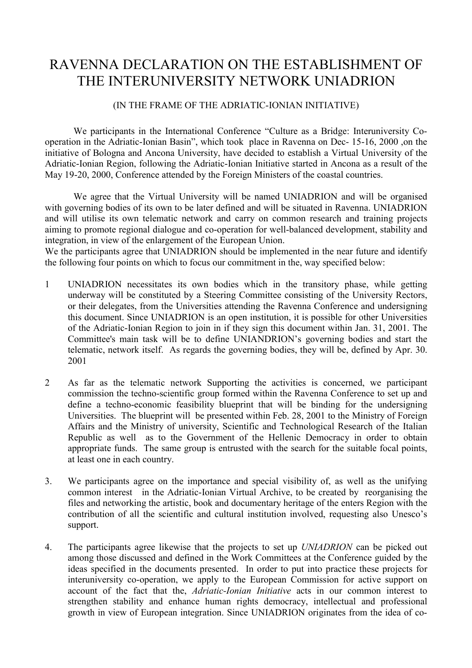## RAVENNA DECLARATION ON THE ESTABLISHMENT OF THE INTERUNIVERSITY NETWORK UNIADRION

## (IN THE FRAME OF THE ADRIATIC-IONIAN INITIATIVE)

We participants in the International Conference "Culture as a Bridge: Interuniversity Cooperation in the Adriatic-Ionian Basin", which took place in Ravenna on Dec- 15-16, 2000 ,on the initiative of Bologna and Ancona University, have decided to establish a Virtual University of the Adriatic-Ionian Region, following the Adriatic-Ionian Initiative started in Ancona as a result of the May 19-20, 2000, Conference attended by the Foreign Ministers of the coastal countries.

We agree that the Virtual University will be named UNIADRION and will be organised with governing bodies of its own to be later defined and will be situated in Ravenna. UNIADRION and will utilise its own telematic network and carry on common research and training projects aiming to promote regional dialogue and co-operation for well-balanced development, stability and integration, in view of the enlargement of the European Union.

We the participants agree that UNIADRION should be implemented in the near future and identify the following four points on which to focus our commitment in the, way specified below:

- 1 UNIADRION necessitates its own bodies which in the transitory phase, while getting underway will be constituted by a Steering Committee consisting of the University Rectors, or their delegates, from the Universities attending the Ravenna Conference and undersigning this document. Since UNIADRION is an open institution, it is possible for other Universities of the Adriatic-Ionian Region to join in if they sign this document within Jan. 31, 2001. The Committee's main task will be to define UNIANDRION's governing bodies and start the telematic, network itself. As regards the governing bodies, they will be, defined by Apr. 30. 2001
- 2 As far as the telematic network Supporting the activities is concerned, we participant commission the techno-scientific group formed within the Ravenna Conference to set up and define a techno-economic feasibility blueprint that will be binding for the undersigning Universities. The blueprint will be presented within Feb. 28, 2001 to the Ministry of Foreign Affairs and the Ministry of university, Scientific and Technological Research of the Italian Republic as well as to the Government of the Hellenic Democracy in order to obtain appropriate funds. The same group is entrusted with the search for the suitable focal points, at least one in each country.
- 3. We participants agree on the importance and special visibility of, as well as the unifying common interest in the Adriatic-Ionian Virtual Archive, to be created by reorganising the files and networking the artistic, book and documentary heritage of the enters Region with the contribution of all the scientific and cultural institution involved, requesting also Unesco's support.
- 4. The participants agree likewise that the projects to set up *UNIADRION* can be picked out among those discussed and defined in the Work Committees at the Conference guided by the ideas specified in the documents presented. In order to put into practice these projects for interuniversity co-operation, we apply to the European Commission for active support on account of the fact that the, *Adriatic-Ionian Initiative* acts in our common interest to strengthen stability and enhance human rights democracy, intellectual and professional growth in view of European integration. Since UNIADRION originates from the idea of co-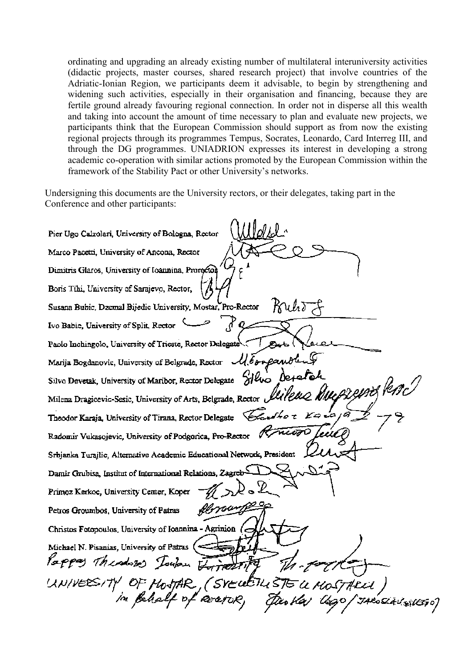ordinating and upgrading an already existing number of multilateral interuniversity activities (didactic projects, master courses, shared research project) that involve countries of the Adriatic-Ionian Region, we participants deem it advisable, to begin by strengthening and widening such activities, especially in their organisation and financing, because they are fertile ground already favouring regional connection. In order not in disperse all this wealth and taking into account the amount of time necessary to plan and evaluate new projects, we participants think that the European Commission should support as from now the existing regional projects through its programmes Tempus, Socrates, Leonardo, Card Interreg III, and through the DG programmes. UNIADRION expresses its interest in developing a strong academic co-operation with similar actions promoted by the European Commission within the framework of the Stability Pact or other University's networks.

Undersigning this documents are the University rectors, or their delegates, taking part in the Conference and other participants:

Pier Ugo Calzolari, University of Bologna, Rector Marco Pacetti, University of Ancona, Rector Dimitris Glaros, University of Ioannina, Prorector Boris Tihi, University of Sarajevo, Rector, Susana Bubic, Dzemal Bijedic University, Mostar, Pro-Rector  $Ruh$ አ  $\mathbb{R}^q$ Ivo Babic, University of Split, Rector Paolo Inchingolo, University of Trieste, Rector Delegate Marija Bogdanovic, University of Belgrade, Rector  $\mathcal{U}\delta$ onganol Silvo Devetak, University of Maribor, Rector Delegate 3/400 De+a Milena Dragicevic-Sesic, University of Arts, Belgrade, Rector &  $\boldsymbol{\varkappa}$ Theodor Karaja, University of Tirana, Rector Delegate <del>nivo</del>0 Æ Radomir Vukasojevic, University of Podgorica, Pro-Rector Srbjanka Turajlic, Alternative Academic Educational Network, President Damir Grubisa, Institut of International Relations, Zagreb-Primoz Kerkoc, University Center, Koper florough Petros Groumbos, University of Patras Christos Fotopoulos, University of Ioannina - Agrinion ( Michael N. Pisanias, University of Patras ( $\sim$ Pappy Thursday Journ Formation UNIVERSITY OF MOSTAR, (SYEWETH STE U MOSTARUL,